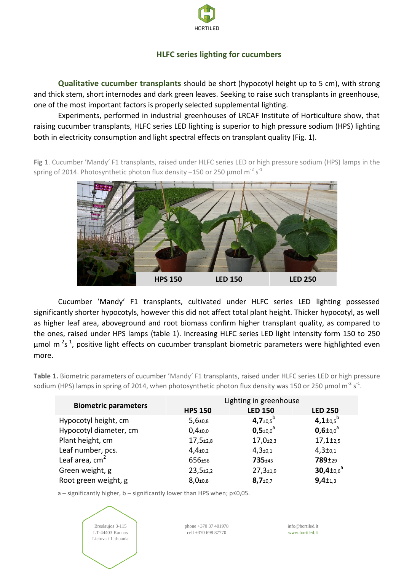

# **HLFC series lighting for cucumbers**

**Qualitative cucumber transplants** should be short (hypocotyl height up to 5 cm), with strong and thick stem, short internodes and dark green leaves. Seeking to raise such transplants in greenhouse, one of the most important factors is properly selected supplemental lighting.

Experiments, performed in industrial greenhouses of LRCAF Institute of Horticulture show, that raising cucumber transplants, HLFC series LED lighting is superior to high pressure sodium (HPS) lighting both in electricity consumption and light spectral effects on transplant quality (Fig. 1).

Fig 1. Cucumber 'Mandy' F1 transplants, raised under HLFC series LED or high pressure sodium (HPS) lamps in the spring of 2014. Photosynthetic photon flux density  $-150$  or 250  $\mu$ mol m $^{-2}$  s $^{-1}$ 



Cucumber 'Mandy' F1 transplants, cultivated under HLFC series LED lighting possessed significantly shorter hypocotyls, however this did not affect total plant height. Thicker hypocotyl, as well as higher leaf area, aboveground and root biomass confirm higher transplant quality, as compared to the ones, raised under HPS lamps (table 1). Increasing HLFC series LED light intensity form 150 to 250 µmol m<sup>-2</sup>s<sup>-1</sup>, positive light effects on cucumber transplant biometric parameters were highlighted even more.

**Table 1.** Biometric parameters of cucumber 'Mandy' F1 transplants, raised under HLFC series LED or high pressure sodium (HPS) lamps in spring of 2014, when photosynthetic photon flux density was 150 or 250 µmol m<sup>-2</sup> s<sup>-1</sup>.

| <b>Biometric parameters</b> | <b>HPS 150</b>             | Lighting in greenhouse<br><b>LED 150</b> | <b>LED 250</b>                        |
|-----------------------------|----------------------------|------------------------------------------|---------------------------------------|
| Hypocotyl height, cm        | $5,6{\scriptstyle \pm0,8}$ | 4,7 $\pm$ 0,5 <sup>b</sup>               | 4,1 $\pm$ <sub>0.5</sub> <sup>b</sup> |
| Hypocotyl diameter, cm      | $0,4_{\pm 0,0}$            | $0,5{\scriptstyle \pm0,0}^{\rm a}$       | $0,6 \pm 0.0$ <sup>a</sup>            |
| Plant height, cm            | $17,5+2,8$                 | $17,0+2,3$                               | $17,1\pm_{2,5}$                       |
| Leaf number, pcs.           | $4,4_{\pm 0,2}$            | $4,3{\scriptstyle \pm0,1}$               | $4,3 \pm 0.1$                         |
| Leaf area, $cm2$            | 656±56                     | 735±45                                   | 789±29                                |
| Green weight, g             | $23,5+2,2$                 | $27,3+1,9$                               | $30,4 \pm 0.6$ <sup>a</sup>           |
| Root green weight, g        | $8,0{\scriptstyle \pm0,8}$ | $8,7{\scriptstyle \pm0,7}$               | $9,4+1,3$                             |

a – significantly higher, b – significantly lower than HPS when; p≤0,05.



phone +370 37 401978 cell +370 698 87770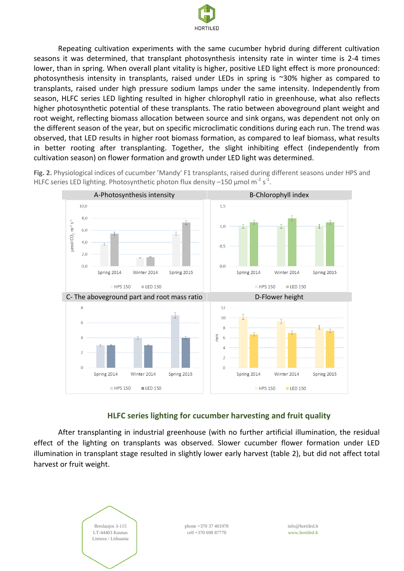

Repeating cultivation experiments with the same cucumber hybrid during different cultivation seasons it was determined, that transplant photosynthesis intensity rate in winter time is 2-4 times lower, than in spring. When overall plant vitality is higher, positive LED light effect is more pronounced: photosynthesis intensity in transplants, raised under LEDs in spring is ~30% higher as compared to transplants, raised under high pressure sodium lamps under the same intensity. Independently from season, HLFC series LED lighting resulted in higher chlorophyll ratio in greenhouse, what also reflects higher photosynthetic potential of these transplants. The ratio between aboveground plant weight and root weight, reflecting biomass allocation between source and sink organs, was dependent not only on the different season of the year, but on specific microclimatic conditions during each run. The trend was observed, that LED results in higher root biomass formation, as compared to leaf biomass, what results in better rooting after transplanting. Together, the slight inhibiting effect (independently from cultivation season) on flower formation and growth under LED light was determined.

Fig. 2. Physiological indices of cucumber 'Mandy' F1 transplants, raised during different seasons under HPS and HLFC series LED lighting. Photosynthetic photon flux density  $-150$  µmol m<sup>-2</sup> s<sup>-1</sup>.



## **HLFC series lighting for cucumber harvesting and fruit quality**

After transplanting in industrial greenhouse (with no further artificial illumination, the residual effect of the lighting on transplants was observed. Slower cucumber flower formation under LED illumination in transplant stage resulted in slightly lower early harvest (table 2), but did not affect total harvest or fruit weight.

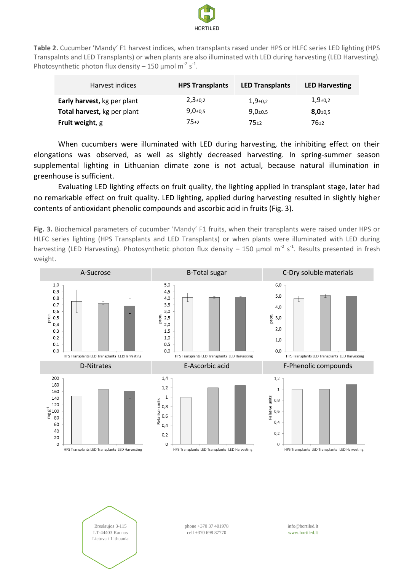

**Table 2.** Cucumber 'Mandy' F1 harvest indices, when transplants rased under HPS or HLFC series LED lighting (HPS Transpalnts and LED Transplants) or when plants are also illuminated with LED during harvesting (LED Harvesting). Photosynthetic photon flux density – 150  $\mu$ mol m<sup>-2</sup> s<sup>-1</sup>.

| Harvest indices             | <b>HPS Transplants</b>     | <b>LED Transplants</b>     | <b>LED Harvesting</b>      |
|-----------------------------|----------------------------|----------------------------|----------------------------|
| Early harvest, kg per plant | $2,3{\scriptstyle \pm}0.2$ | $1,9{\scriptstyle \pm0.2}$ | $1,9{\scriptstyle \pm0.2}$ |
| Total harvest, kg per plant | $9,0{\scriptstyle \pm0.5}$ | $9,0{\scriptstyle \pm0.5}$ | $8,0{\scriptstyle \pm0.5}$ |
| <b>Fruit weight, g</b>      | 75±2                       | 75±2                       | 76±2                       |

When cucumbers were illuminated with LED during harvesting, the inhibiting effect on their elongations was observed, as well as slightly decreased harvesting. In spring-summer season supplemental lighting in Lithuanian climate zone is not actual, because natural illumination in greenhouse is sufficient.

Evaluating LED lighting effects on fruit quality, the lighting applied in transplant stage, later had no remarkable effect on fruit quality. LED lighting, applied during harvesting resulted in slightly higher contents of antioxidant phenolic compounds and ascorbic acid in fruits (Fig. 3).

Fig. 3. Biochemical parameters of cucumber 'Mandy' F1 fruits, when their transplants were raised under HPS or HLFC series lighting (HPS Transplants and LED Transplants) or when plants were illuminated with LED during harvesting (LED Harvesting). Photosynthetic photon flux density – 150  $\mu$ mol m<sup>-2</sup> s<sup>-1</sup>. Results presented in fresh weight.





phone +370 37 401978 cell +370 698 87770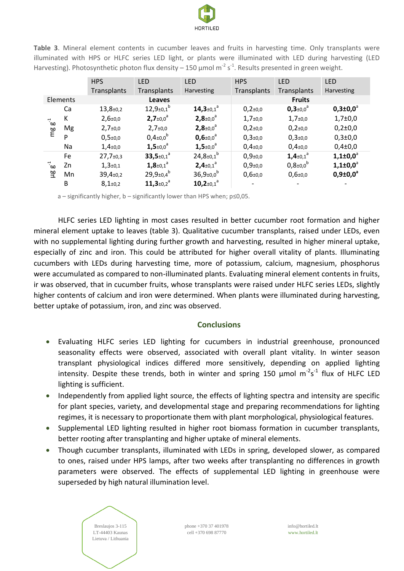

**Table 3**. Mineral element contents in cucumber leaves and fruits in harvesting time. Only transplants were illuminated with HPS or HLFC series LED light, or plants were illuminated with LED during harvesting (LED Harvesting). Photosynthetic photon flux density – 150 µmol m<sup>-2</sup> s<sup>-1</sup>. Results presented in green weight.

|                      |    | <b>HPS</b>                  | <b>LED</b>                          | <b>LED</b>                          | <b>HPS</b>                 | <b>LED</b>                         | <b>LED</b>            |
|----------------------|----|-----------------------------|-------------------------------------|-------------------------------------|----------------------------|------------------------------------|-----------------------|
|                      |    | Transplants                 | Transplants                         | Harvesting                          | Transplants                | Transplants                        | <b>Harvesting</b>     |
| Elements             |    | <b>Leaves</b>               |                                     |                                     | <b>Fruits</b>              |                                    |                       |
| ີ $\mathtt{w}$<br>mg | Ca | $13,8{\scriptstyle \pm0,2}$ | $12,9_{\pm0,1}$ <sup>b</sup>        | 14,3 $\pm$ 0,1 $^{\circ}$           | $0,2{\scriptstyle \pm}0,0$ | $0,3{\scriptstyle \pm0,0}^{\circ}$ | $0,3{\pm}0,0^{\circ}$ |
|                      | К  | $2,6{\scriptstyle \pm0.0}$  | $2,7{\scriptstyle \pm0.0}^{\circ}$  | $2,8+0.0^a$                         | $1,7{\scriptstyle \pm0,0}$ | $1,7+0,0$                          | $1,7{\pm}0,0$         |
|                      | Mg | $2,7+0,0$                   | $2,7{\scriptstyle \pm0.0}$          | $2,8+0.0$ <sup>a</sup>              | $0,2{\scriptstyle \pm}0,0$ | $0,2{\scriptstyle \pm}0,0$         | $0,2{\pm}0,0$         |
|                      | P  | $0,5{\scriptstyle \pm0.0}$  | $0,4{\scriptstyle \pm0,0}^{\rm b}$  | $0,6{\scriptstyle \pm0,0}^{\circ}$  | $0,3{\scriptstyle \pm0,0}$ | $0,3{\scriptstyle \pm0,0}$         | $0,3{\pm}0,0$         |
|                      | Na | $1,4{\scriptstyle \pm0.0}$  | $1,5{\scriptstyle \pm0,0}^{\circ}$  | $1,5{\scriptstyle \pm0.0}^{\circ}$  | $0,4{\scriptstyle \pm0,0}$ | $0,4{\scriptstyle \pm0,0}$         | $0,4{\pm}0,0$         |
| ്ക<br>알              | Fe | $27,7{\scriptstyle \pm0,3}$ | $33,5 \pm 0.1$ <sup>a</sup>         | $24,8{\scriptstyle \pm0,1}^{\rm b}$ | $0,9{\scriptstyle \pm0,0}$ | $1,4{\scriptstyle \pm0,1}^{\rm a}$ | $1,1\pm0,0^{\circ}$   |
|                      | Zn | $1,3+0,1$                   | $1,8{\scriptstyle \pm0,1}^{\circ}$  | $2,4+0,1^a$                         | $0,9{\scriptstyle \pm0,0}$ | $0,8{\scriptstyle \pm0.0}^{\rm b}$ | $1,1\pm0,0^{\circ}$   |
|                      | Mn | $39,4{\scriptstyle \pm0,2}$ | $29,9{\scriptstyle \pm0,4}^{\rm b}$ | $36,9{\scriptstyle \pm0,0}^{\rm b}$ | $0,6{\scriptstyle \pm0,0}$ | $0,6{\scriptstyle \pm0,0}$         | $0,9{\pm}0,0^{\circ}$ |
|                      | В  | $8,1\pm0,2$                 | $11,3_{\pm 0,2}$ <sup>a</sup>       | $10,2_{\pm0,1}$ <sup>a</sup>        |                            |                                    |                       |

a – significantly higher, b – significantly lower than HPS when; p≤0,05.

HLFC series LED lighting in most cases resulted in better cucumber root formation and higher mineral element uptake to leaves (table 3). Qualitative cucumber transplants, raised under LEDs, even with no supplemental lighting during further growth and harvesting, resulted in higher mineral uptake, especially of zinc and iron. This could be attributed for higher overall vitality of plants. Illuminating cucumbers with LEDs during harvesting time, more of potassium, calcium, magnesium, phosphorus were accumulated as compared to non-illuminated plants. Evaluating mineral element contents in fruits, ir was observed, that in cucumber fruits, whose transplants were raised under HLFC series LEDs, slightly higher contents of calcium and iron were determined. When plants were illuminated during harvesting, better uptake of potassium, iron, and zinc was observed.

#### **Conclusions**

- Evaluating HLFC series LED lighting for cucumbers in industrial greenhouse, pronounced seasonality effects were observed, associated with overall plant vitality. In winter season transplant physiological indices differed more sensitively, depending on applied lighting intensity. Despite these trends, both in winter and spring 150  $\mu$ mol m<sup>-2</sup>s<sup>-1</sup> flux of HLFC LED lighting is sufficient.
- Independently from applied light source, the effects of lighting spectra and intensity are specific for plant species, variety, and developmental stage and preparing recommendations for lighting regimes, it is necessary to proportionate them with plant morphological, physiological features.
- Supplemental LED lighting resulted in higher root biomass formation in cucumber transplants, better rooting after transplanting and higher uptake of mineral elements.
- Though cucumber transplants, illuminated with LEDs in spring, developed slower, as compared to ones, raised under HPS lamps, after two weeks after transplanting no differences in growth parameters were observed. The effects of supplemental LED lighting in greenhouse were superseded by high natural illumination level.



phone +370 37 401978 cell +370 698 87770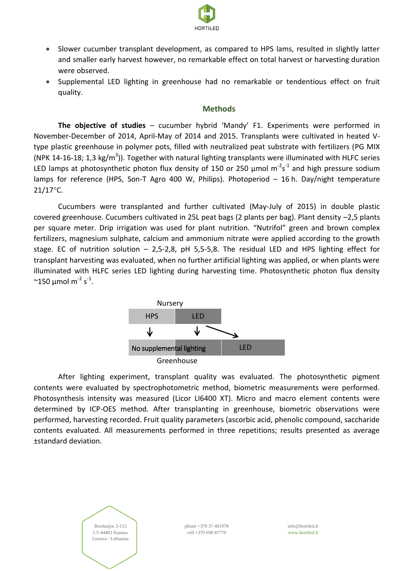

- Slower cucumber transplant development, as compared to HPS lams, resulted in slightly latter and smaller early harvest however, no remarkable effect on total harvest or harvesting duration were observed.
- Supplemental LED lighting in greenhouse had no remarkable or tendentious effect on fruit quality.

#### **Methods**

**The objective of studies** – cucumber hybrid 'Mandy' F1. Experiments were performed in November-December of 2014, April-May of 2014 and 2015. Transplants were cultivated in heated Vtype plastic greenhouse in polymer pots, filled with neutralized peat substrate with fertilizers (PG MIX (NPK 14-16-18; 1,3 kg/m<sup>3</sup>)). Together with natural lighting transplants were illuminated with HLFC series LED lamps at photosynthetic photon flux density of 150 or 250  $\mu$ mol m<sup>-2</sup>s<sup>-1</sup> and high pressure sodium lamps for reference (HPS, Son-T Agro 400 W, Philips). Photoperiod – 16 h. Day/night temperature  $21/17^{\circ}$ C.

Cucumbers were transplanted and further cultivated (May-July of 2015) in double plastic covered greenhouse. Cucumbers cultivated in 25L peat bags (2 plants per bag). Plant density –2,5 plants per square meter. Drip irrigation was used for plant nutrition. "Nutrifol" green and brown complex fertilizers, magnesium sulphate, calcium and ammonium nitrate were applied according to the growth stage. EC of nutrition solution – 2,5-2,8, pH 5,5-5,8. The residual LED and HPS lighting effect for transplant harvesting was evaluated, when no further artificial lighting was applied, or when plants were illuminated with HLFC series LED lighting during harvesting time. Photosynthetic photon flux density  $\sim$ 150 µmol m $^{-2}$  s $^{-1}$ .



After lighting experiment, transplant quality was evaluated. The photosynthetic pigment contents were evaluated by spectrophotometric method, biometric measurements were performed. Photosynthesis intensity was measured (Licor LI6400 XT). Micro and macro element contents were determined by ICP-OES method. After transplanting in greenhouse, biometric observations were performed, harvesting recorded. Fruit quality parameters (ascorbic acid, phenolic compound, saccharide contents evaluated. All measurements performed in three repetitions; results presented as average ±standard deviation.



phone +370 37 401978 cell +370 698 87770